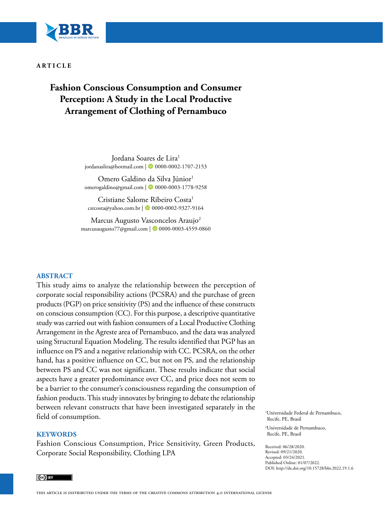

#### **ARTICLE**

# **Fashion Conscious Consumption and Consumer Perception: A Study in the Local Productive Arrangement of Clothing of Pernambuco**

Jordana Soares de Lira<sup>1</sup> jordanaslira@hotmail.com | **0** [0000-0002-1707-2153](https://orcid.org/0000-0002-1707-2153)

Omero Galdino da Silva Júnior<sup>1</sup> omerogaldino@gmail.com | **0** [0000-0003-1778-9258](https://orcid.org/0000-0003-1778-9258)

Cristiane Salome Ribeiro Costa<sup>1</sup> csrcosta@yahoo.com.br | 00000-0002-9327-9164

Marcus Augusto Vasconcelos Araujo<sup>2</sup> marcusaugusto77@gmail.com | 0[0000-0003-4559-0860](https://orcid.org/0000-0003-4559-0860)

#### **ABSTRACT**

This study aims to analyze the relationship between the perception of corporate social responsibility actions (PCSRA) and the purchase of green products (PGP) on price sensitivity (PS) and the influence of these constructs on conscious consumption (CC). For this purpose, a descriptive quantitative study was carried out with fashion consumers of a Local Productive Clothing Arrangement in the Agreste area of Pernambuco, and the data was analyzed using Structural Equation Modeling. The results identified that PGP has an influence on PS and a negative relationship with CC. PCSRA, on the other hand, has a positive influence on CC, but not on PS, and the relationship between PS and CC was not significant. These results indicate that social aspects have a greater predominance over CC, and price does not seem to be a barrier to the consumer's consciousness regarding the consumption of fashion products. This study innovates by bringing to debate the relationship between relevant constructs that have been investigated separately in the field of consumption.

#### **KEYWORDS**

Fashion Conscious Consumption, Price Sensitivity, Green Products, Corporate Social Responsibility, Clothing LPA

1 Universidade Federal de Pernambuco, Recife, PE, Brasil

2 Universidade de Pernambuco, Recife, PE, Brasil

Received: 06/28/2020. Revised: 09/21/2020. Accepted: 03/24/2021. Published Online: 01/07/2022. DOI: http://dx.doi.org/10.15728/bbr.2022.19.1.6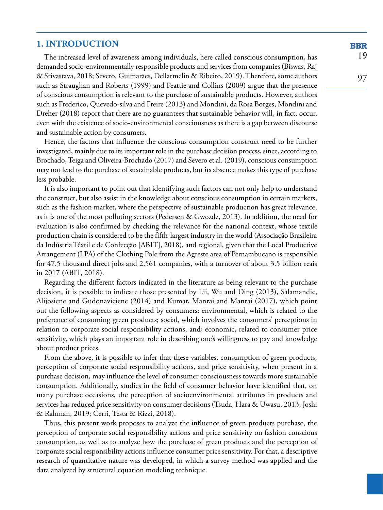# **1. INTRODUCTION**

The increased level of awareness among individuals, here called conscious consumption, has demanded socio-environmentally responsible products and services from companies (Biswas, Raj & Srivastava, 2018; Severo, Guimarães, Dellarmelin & Ribeiro, 2019). Therefore, some authors such as Straughan and Roberts (1999) and Peattie and Collins (2009) argue that the presence of conscious consumption is relevant to the purchase of sustainable products. However, authors such as Frederico, Quevedo-silva and Freire (2013) and Mondini, da Rosa Borges, Mondini and Dreher (2018) report that there are no guarantees that sustainable behavior will, in fact, occur, even with the existence of socio-environmental consciousness as there is a gap between discourse and sustainable action by consumers.

Hence, the factors that influence the conscious consumption construct need to be further investigated, mainly due to its important role in the purchase decision process, since, according to Brochado, Teiga and Oliveira-Brochado (2017) and Severo et al. (2019), conscious consumption may not lead to the purchase of sustainable products, but its absence makes this type of purchase less probable.

It is also important to point out that identifying such factors can not only help to understand the construct, but also assist in the knowledge about conscious consumption in certain markets, such as the fashion market, where the perspective of sustainable production has great relevance, as it is one of the most polluting sectors (Pedersen & Gwozdz, 2013). In addition, the need for evaluation is also confirmed by checking the relevance for the national context, whose textile production chain is considered to be the fifth-largest industry in the world (Associação Brasileira da Indústria Têxtil e de Confecção [ABIT], 2018), and regional, given that the Local Productive Arrangement (LPA) of the Clothing Pole from the Agreste area of Pernambucano is responsible for 47.5 thousand direct jobs and 2,561 companies, with a turnover of about 3.5 billion reais in 2017 (ABIT, 2018).

Regarding the different factors indicated in the literature as being relevant to the purchase decision, it is possible to indicate those presented by Lii, Wu and Ding (2013), Salamandic, Alijosiene and Gudonaviciene (2014) and Kumar, Manrai and Manrai (2017), which point out the following aspects as considered by consumers: environmental, which is related to the preference of consuming green products; social, which involves the consumers' perceptions in relation to corporate social responsibility actions, and; economic, related to consumer price sensitivity, which plays an important role in describing one's willingness to pay and knowledge about product prices.

From the above, it is possible to infer that these variables, consumption of green products, perception of corporate social responsibility actions, and price sensitivity, when present in a purchase decision, may influence the level of consumer consciousness towards more sustainable consumption. Additionally, studies in the field of consumer behavior have identified that, on many purchase occasions, the perception of socioenvironmental attributes in products and services has reduced price sensitivity on consumer decisions (Tsuda, Hara & Uwasu, 2013; Joshi & Rahman, 2019; Cerri, Testa & Rizzi, 2018).

Thus, this present work proposes to analyze the influence of green products purchase, the perception of corporate social responsibility actions and price sensitivity on fashion conscious consumption, as well as to analyze how the purchase of green products and the perception of corporate social responsibility actions influence consumer price sensitivity. For that, a descriptive research of quantitative nature was developed, in which a survey method was applied and the data analyzed by structural equation modeling technique.

**BBR** 19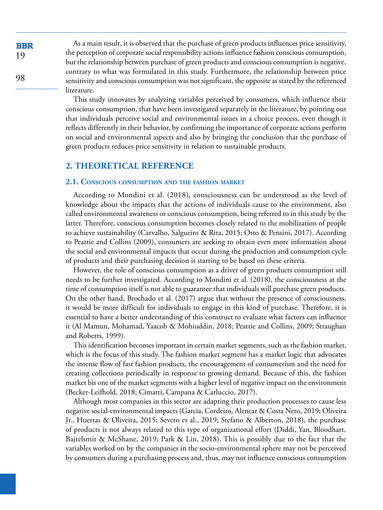As a main result, it is observed that the purchase of green products influences price sensitivity, the perception of corporate social responsibility actions influence fashion conscious consumption, but the relationship between purchase of green products and conscious consumption is negative, contrary to what was formulated in this study. Furthermore, the relationship between price sensitivity and conscious consumption was not significant, the opposite as stated by the referenced literature.

This study innovates by analyzing variables perceived by consumers, which influence their conscious consumption, that have been investigated separately in the literature, by pointing out that individuals perceive social and environmental issues in a choice process, even though it reflects differently in their behavior, by confirming the importance of corporate actions perform on social and environmental aspects and also by bringing the conclusion that the purchase of green products reduces price sensitivity in relation to sustainable products.

# **2. THEORETICAL REFERENCE**

#### **2.1. Conscious consumption and the fashion market**

According to Mondini et al. (2018), consciousness can be understood as the level of knowledge about the impacts that the actions of individuals cause to the environment, also called environmental awareness or conscious consumption, being referred to in this study by the latter. Therefore, conscious consumption becomes closely related to the mobilization of people to achieve sustainability (Carvalho, Salgueiro & Rita, 2015; Otto & Pensini, 2017). According to Peattie and Collins (2009), consumers are seeking to obtain even more information about the social and environmental impacts that occur during the production and consumption cycle of products and their purchasing decision is starting to be based on these criteria.

However, the role of conscious consumption as a driver of green products consumption still needs to be further investigated. According to Mondini et al. (2018), the consciousness at the time of consumption itself is not able to guarantee that individuals will purchase green products. On the other hand, Brochado et al. (2017) argue that without the presence of consciousness, it would be more difficult for individuals to engage in this kind of purchase. Therefore, it is essential to have a better understanding of this construct to evaluate what factors can influence it (Al Mamun, Mohamad, Yaacob & Mohiuddin, 2018; Peattie and Collins, 2009; Straughan and Roberts, 1999).

This identification becomes important in certain market segments, such as the fashion market, which is the focus of this study. The fashion market segment has a market logic that advocates the intense flow of fast fashion products, the encouragement of consumerism and the need for creating collections periodically in response to growing demand. Because of this, the fashion market bis one of the market segments with a higher level of negative impact on the environment (Becker-Leifhold, 2018; Cimatti, Campana & Carluccio, 2017).

Although most companies in this sector are adapting their production processes to cause less negative social-environmental impacts (Garcia, Cordeiro, Alencar & Costa Neto, 2019; Oliveira Jr., Huertas & Oliveira, 2015; Severo et al., 2019; Stefano & Alberton, 2018), the purchase of products is not always related to this type of organizational effort (Diddi, Yan, Bloodhart, Bajtelsmit & McShane, 2019; Park & Lin, 2018). This is possibly due to the fact that the variables worked on by the companies in the socio-environmental sphere may not be perceived by consumers during a purchasing process and, thus, may not influence conscious consumption

**BBR** 19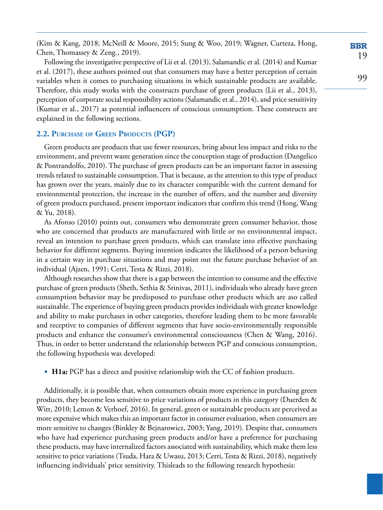(Kim & Kang, 2018; McNeill & Moore, 2015; Sung & Woo, 2019; Wagner, Curteza, Hong, Chen, Thomassey & Zeng., 2019).

Following the investigative perspective of Lii et al. (2013), Salamandic et al. (2014) and Kumar et al. (2017), these authors pointed out that consumers may have a better perception of certain variables when it comes to purchasing situations in which sustainable products are available. Therefore, this study works with the constructs purchase of green products (Lii et al., 2013), perception of corporate social responsibility actions (Salamandic et al., 2014), and price sensitivity (Kumar et al., 2017) as potential influencers of conscious consumption. These constructs are explained in the following sections.

### **2.2. Purchase of Green Products (PGP)**

Green products are products that use fewer resources, bring about less impact and risks to the environment, and prevent waste generation since the conception stage of production (Dangelico & Pontrandolfo, 2010). The purchase of green products can be an important factor in assessing trends related to sustainable consumption. That is because, as the attention to this type of product has grown over the years, mainly due to its character compatible with the current demand for environmental protection, the increase in the number of offers, and the number and diversity of green products purchased, present important indicators that confirm this trend (Hong, Wang & Yu, 2018).

As Afonso (2010) points out, consumers who demonstrate green consumer behavior, those who are concerned that products are manufactured with little or no environmental impact, reveal an intention to purchase green products, which can translate into effective purchasing behavior for different segments. Buying intention indicates the likelihood of a person behaving in a certain way in purchase situations and may point out the future purchase behavior of an individual (Ajzen, 1991; Cerri, Testa & Rizzi, 2018).

Although researches show that there is a gap between the intention to consume and the effective purchase of green products (Sheth, Sethia & Srinivas, 2011), individuals who already have green consumption behavior may be predisposed to purchase other products which are aso called sustainable. The experience of buying green products provides individuals with greater knowledge and ability to make purchases in other categories, therefore leading them to be more favorable and receptive to companies of different segments that have socio-environmentally responsible products and enhance the consumer's environmental consciousness (Chen & Wang, 2016). Thus, in order to better understand the relationship between PGP and conscious consumption, the following hypothesis was developed:

• **H1a:** PGP has a direct and positive relationship with the CC of fashion products.

Additionally, it is possible that, when consumers obtain more experience in purchasing green products, they become less sensitive to price variations of products in this category (Duerden & Witt, 2010; Lemon & Verhoef, 2016). In general, green or sustainable products are perceived as more expensive which makes this an important factor in consumer evaluation, when consumers are more sensitive to changes (Binkley & Bejnarowicz, 2003; Yang, 2019). Despite that, consumers who have had experience purchasing green products and/or have a preference for purchasing these products, may have internalized factors associated with sustainability, which make them less sensitive to price variations (Tsuda, Hara & Uwasu, 2013; Cerri, Testa & Rizzi, 2018), negatively influencing individuals' price sensitivity. Thisleads to the following research hypothesis: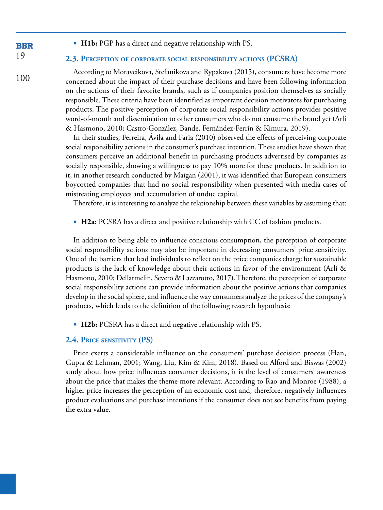• **H1b:** PGP has a direct and negative relationship with PS.

#### **2.3. Perception of corporate social responsibility actions (PCSRA)**

According to Moravcikova, Stefanikova and Rypakova (2015), consumers have become more concerned about the impact of their purchase decisions and have been following information on the actions of their favorite brands, such as if companies position themselves as socially responsible. These criteria have been identified as important decision motivators for purchasing products. The positive perception of corporate social responsibility actions provides positive word-of-mouth and dissemination to other consumers who do not consume the brand yet (Arli & Hasmono, 2010; Castro-González, Bande, Fernández-Ferrín & Kimura, 2019).

In their studies, Ferreira, Ávila and Faria (2010) observed the effects of perceiving corporate social responsibility actions in the consumer's purchase intention. These studies have shown that consumers perceive an additional benefit in purchasing products advertised by companies as socially responsible, showing a willingness to pay 10% more for these products. In addition to it, in another research conducted by Maigan (2001), it was identified that European consumers boycotted companies that had no social responsibility when presented with media cases of mistreating employees and accumulation of undue capital.

Therefore, it is interesting to analyze the relationship between these variables by assuming that:

• **H2a:** PCSRA has a direct and positive relationship with CC of fashion products.

In addition to being able to influence conscious consumption, the perception of corporate social responsibility actions may also be important in decreasing consumers' price sensitivity. One of the barriers that lead individuals to reflect on the price companies charge for sustainable products is the lack of knowledge about their actions in favor of the environment (Arli & Hasmono, 2010; Dellarmelin, Severo & Lazzarotto, 2017). Therefore, the perception of corporate social responsibility actions can provide information about the positive actions that companies develop in the social sphere, and influence the way consumers analyze the prices of the company's products, which leads to the definition of the following research hypothesis:

• **H2b:** PCSRA has a direct and negative relationship with PS.

#### **2.4. Price sensitivity (PS)**

Price exerts a considerable influence on the consumers' purchase decision process (Han, Gupta & Lehman, 2001; Wang, Liu, Kim & Kim, 2018). Based on Alford and Biswas (2002) study about how price influences consumer decisions, it is the level of consumers' awareness about the price that makes the theme more relevant. According to Rao and Monroe (1988), a higher price increases the perception of an economic cost and, therefore, negatively influences product evaluations and purchase intentions if the consumer does not see benefits from paying the extra value.

### **BBR** 19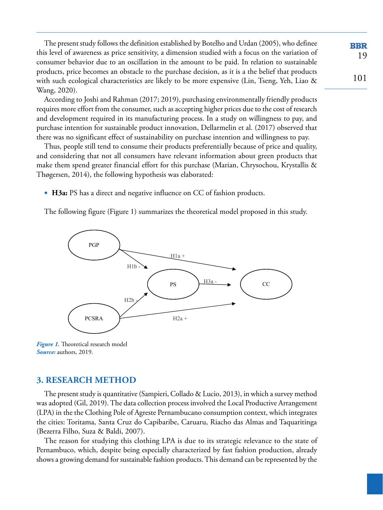The present study follows the definition established by Botelho and Urdan (2005), who definee this level of awareness as price sensitivity, a dimension studied with a focus on the variation of consumer behavior due to an oscillation in the amount to be paid. In relation to sustainable products, price becomes an obstacle to the purchase decision, as it is a the belief that products with such ecological characteristics are likely to be more expensive (Lin, Tseng, Yeh, Liao & Wang, 2020).

19

**BBR** 

101

According to Joshi and Rahman (2017; 2019), purchasing environmentally friendly products requires more effort from the consumer, such as accepting higher prices due to the cost of research and development required in its manufacturing process. In a study on willingness to pay, and purchase intention for sustainable product innovation, Dellarmelin et al. (2017) observed that there was no significant effect of sustainability on purchase intention and willingness to pay.

Thus, people still tend to consume their products preferentially because of price and quality, and considering that not all consumers have relevant information about green products that make them spend greater financial effort for this purchase (Marian, Chrysochou, Krystallis & Thøgersen, 2014), the following hypothesis was elaborated:

• **H3a:** PS has a direct and negative influence on CC of fashion products.

The following figure ([Figure 1\)](#page-5-0) summarizes the theoretical model proposed in this study.



<span id="page-5-0"></span>*[Figure 1](#page-5-0).* Theoretical research model *Source:* authors, 2019.

# **3. RESEARCH METHOD**

The present study is quantitative (Sampieri, Collado & Lucio, 2013), in which a survey method was adopted (Gil, 2019). The data collection process involved the Local Productive Arrangement (LPA) in the the Clothing Pole of Agreste Pernambucano consumption context, which integrates the cities: Toritama, Santa Cruz do Capibaribe, Caruaru, Riacho das Almas and Taquaritinga (Bezerra Filho, Suza & Baldi, 2007).

The reason for studying this clothing LPA is due to its strategic relevance to the state of Pernambuco, which, despite being especially characterized by fast fashion production, already shows a growing demand for sustainable fashion products. This demand can be represented by the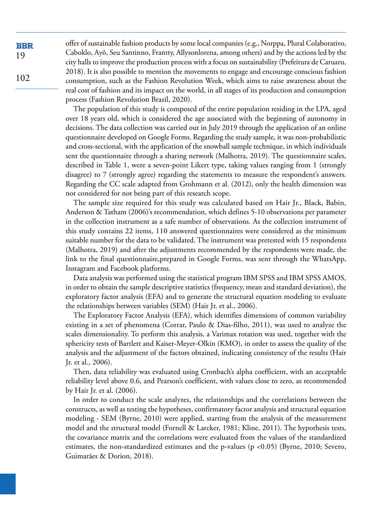offer of sustainable fashion products by some local companies (e.g., Norppa, Plural Colaborativo, Caboklo, Ayô, Seu Santinno, Frantty, Allysonlorena, among others) and by the actions led by the city halls to improve the production process with a focus on sustainability (Prefeitura de Caruaru, 2018). It is also possible to mention the movements to engage and encourage conscious fashion consumption, such as the Fashion Revolution Week, which aims to raise awareness about the real cost of fashion and its impact on the world, in all stages of its production and consumption process (Fashion Revolution Brazil, 2020).

The population of this study is composed of the entire population residing in the LPA, aged over 18 years old, which is considered the age associated with the beginning of autonomy in decisions. The data collection was carried out in July 2019 through the application of an online questionnaire developed on Google Forms. Regarding the study sample, it was non-probabilistic and cross-sectional, with the application of the snowball sample technique, in which individuals sent the questionnaire through a sharing network (Malhotra, 2019). The questionnaire scales, described in [Table 1,](#page-8-0) were a seven-point Likert type, taking values ranging from 1 (strongly disagree) to 7 (strongly agree) regarding the statements to measure the respondent's answers. Regarding the CC scale adapted from Grohmann et al. (2012), only the health dimension was not considered for not being part of this research scope.

The sample size required for this study was calculated based on Hair Jr., Black, Babin, Anderson & Tatham (2006)'s recommendation, which defines 5-10 observations per parameter in the collection instrument as a safe number of observations. As the collection instrument of this study contains 22 items, 110 answered questionnaires were considered as the minimum suitable number for the data to be validated. The instrument was pretested with 15 respondents (Malhotra, 2019) and after the adjustments recommended by the respondents were made, the link to the final questionnaire,prepared in Google Forms, was sent through the WhatsApp, Instagram and Facebook platforms.

Data analysis was performed using the statistical program IBM SPSS and IBM SPSS AMOS, in order to obtain the sample descriptive statistics (frequency, mean and standard deviation), the exploratory factor analysis (EFA) and to generate the structural equation modeling to evaluate the relationships between variables (SEM) (Hair Jr. et al., 2006).

The Exploratory Factor Analysis (EFA), which identifies dimensions of common variability existing in a set of phenomena (Corrar, Paulo & Dias-filho, 2011), was used to analyze the scales dimensionality. To perform this analysis, a Varimax rotation was used, together with the sphericity tests of Bartlett and Kaiser-Meyer-Olkin (KMO), in order to assess the quality of the analysis and the adjustment of the factors obtained, indicating consistency of the results (Hair Jr. et al., 2006).

Then, data reliability was evaluated using Cronbach's alpha coefficient, with an acceptable reliability level above 0.6, and Pearson's coefficient, with values close to zero, as recommended by Hair Jr. et al. (2006).

In order to conduct the scale analyzes, the relationships and the correlations between the constructs, as well as testing the hypotheses, confirmatory factor analysis and structural equation modeling - SEM (Byrne, 2010) were applied, starting from the analysis of the measurement model and the structural model (Fornell & Larcker, 1981; Kline, 2011). The hypothesis tests, the covariance matrix and the correlations were evaluated from the values of the standardized estimates, the non-standardized estimates and the p-values (p <0.05) (Byrne, 2010; Severo, Guimarães & Dorion, 2018).

**BBR** 19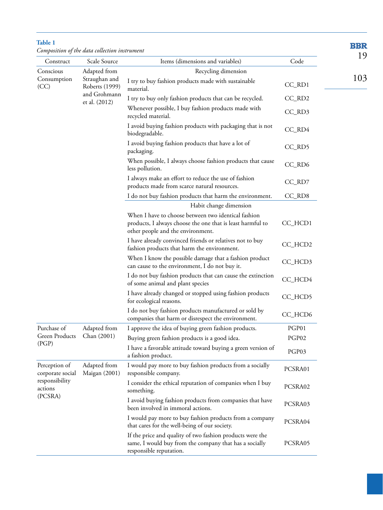| Construct                                                                 | Composition of the data collection instrument<br>Scale Source | Items (dimensions and variables)                                                                                                                       | Code     | 19  |
|---------------------------------------------------------------------------|---------------------------------------------------------------|--------------------------------------------------------------------------------------------------------------------------------------------------------|----------|-----|
| Conscious                                                                 | Adapted from                                                  | Recycling dimension                                                                                                                                    |          |     |
| Consumption<br>(CC)                                                       | Straughan and<br>Roberts (1999)                               | I try to buy fashion products made with sustainable<br>material.                                                                                       | $CC_RD1$ | 103 |
|                                                                           | and Grohmann<br>et al. (2012)                                 | I try to buy only fashion products that can be recycled.                                                                                               | CC_RD2   |     |
|                                                                           |                                                               | Whenever possible, I buy fashion products made with<br>recycled material.                                                                              | CC_RD3   |     |
|                                                                           |                                                               | I avoid buying fashion products with packaging that is not<br>biodegradable.                                                                           | CC_RD4   |     |
|                                                                           |                                                               | I avoid buying fashion products that have a lot of<br>packaging.                                                                                       | CC_RD5   |     |
|                                                                           |                                                               | When possible, I always choose fashion products that cause<br>less pollution.                                                                          | CC_RD6   |     |
|                                                                           |                                                               | I always make an effort to reduce the use of fashion<br>products made from scarce natural resources.                                                   | CC_RD7   |     |
|                                                                           |                                                               | I do not buy fashion products that harm the environment.                                                                                               | CC_RD8   |     |
|                                                                           |                                                               | Habit change dimension                                                                                                                                 |          |     |
|                                                                           |                                                               | When I have to choose between two identical fashion<br>products, I always choose the one that is least harmful to<br>other people and the environment. | CC_HCD1  |     |
|                                                                           |                                                               | I have already convinced friends or relatives not to buy<br>fashion products that harm the environment.                                                | CC_HCD2  |     |
|                                                                           |                                                               | When I know the possible damage that a fashion product<br>can cause to the environment, I do not buy it.                                               | CC_HCD3  |     |
|                                                                           |                                                               | I do not buy fashion products that can cause the extinction<br>of some animal and plant species                                                        | CC_HCD4  |     |
|                                                                           |                                                               | I have already changed or stopped using fashion products<br>for ecological reasons.                                                                    | CC_HCD5  |     |
|                                                                           |                                                               | I do not buy fashion products manufactured or sold by<br>companies that harm or disrespect the environment.                                            | CC_HCD6  |     |
| Purchase of                                                               | Adapted from                                                  | I approve the idea of buying green fashion products.                                                                                                   | PGP01    |     |
| Green Products<br>(PGP)                                                   | Chan (2001)                                                   | Buying green fashion products is a good idea.                                                                                                          | PGP02    |     |
|                                                                           |                                                               | I have a favorable attitude toward buying a green version of<br>a fashion product.                                                                     | PGP03    |     |
| Perception of<br>corporate social<br>responsibility<br>actions<br>(PCSRA) | Adapted from<br>Maigan (2001)                                 | I would pay more to buy fashion products from a socially<br>responsible company.                                                                       | PCSRA01  |     |
|                                                                           |                                                               | I consider the ethical reputation of companies when I buy<br>something.                                                                                | PCSRA02  |     |
|                                                                           |                                                               | I avoid buying fashion products from companies that have<br>been involved in immoral actions.                                                          | PCSRA03  |     |
|                                                                           |                                                               | I would pay more to buy fashion products from a company<br>that cares for the well-being of our society.                                               | PCSRA04  |     |
|                                                                           |                                                               | If the price and quality of two fashion products were the<br>same, I would buy from the company that has a socially<br>responsible reputation.         | PCSRA05  |     |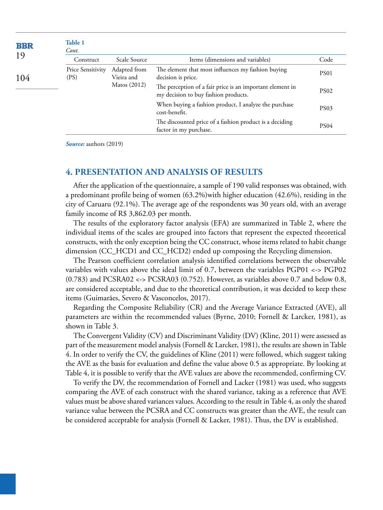<span id="page-8-0"></span>

| <b>BBR</b> | Table 1<br>Cont.          |                            |                                                                                                   |                  |
|------------|---------------------------|----------------------------|---------------------------------------------------------------------------------------------------|------------------|
| 19         | Construct                 | Scale Source               | Items (dimensions and variables)                                                                  | Code             |
| 104        | Price Sensitivity<br>(PS) | Adapted from<br>Vieira and | The element that most influences my fashion buying<br>decision is price.                          | PS <sub>01</sub> |
|            |                           | Matos (2012)               | The perception of a fair price is an important element in<br>my decision to buy fashion products. | <b>PS02</b>      |
|            |                           |                            | When buying a fashion product, I analyze the purchase<br>cost-benefit.                            | <b>PS03</b>      |
|            |                           |                            | The discounted price of a fashion product is a deciding<br>factor in my purchase.                 | PS <sub>04</sub> |

*Source:* authors (2019)

### **4. PRESENTATION AND ANALYSIS OF RESULTS**

After the application of the questionnaire, a sample of 190 valid responses was obtained, with a predominant profile being of women (63.2%)with higher education (42.6%), residing in the city of Caruaru (92.1%). The average age of the respondents was 30 years old, with an average family income of R\$ 3,862.03 per month.

The results of the exploratory factor analysis (EFA) are summarized in [Table 2,](#page-9-0) where the individual items of the scales are grouped into factors that represent the expected theoretical constructs, with the only exception being the CC construct, whose items related to habit change dimension (CC\_HCD1 and CC\_HCD2) ended up composing the Recycling dimension.

The Pearson coefficient correlation analysis identified correlations between the observable variables with values above the ideal limit of 0.7, between the variables PGP01 <-> PGP02 (0.783) and PCSRA02 <-> PCSRA03 (0.752). However, as variables above 0.7 and below 0.8, are considered acceptable, and due to the theoretical contribution, it was decided to keep these items (Guimarães, Severo & Vasconcelos, 2017).

Regarding the Composite Reliability (CR) and the Average Variance Extracted (AVE), all parameters are within the recommended values (Byrne, 2010; Fornell & Larcker, 1981), as shown in [Table 3](#page-9-1).

The Convergent Validity (CV) and Discriminant Validity (DV) (Kline, 2011) were assessed as part of the measurement model analysis (Fornell & Larcker, 1981), the results are shown in [Table](#page-10-0)  [4](#page-10-0). In order to verify the CV, the guidelines of Kline (2011) were followed, which suggest taking the AVE as the basis for evaluation and define the value above 0.5 as appropriate. By looking at [Table 4,](#page-10-0) it is possible to verify that the AVE values are above the recommended, confirming CV.

To verify the DV, the recommendation of Fornell and Lacker (1981) was used, who suggests comparing the AVE of each construct with the shared variance, taking as a reference that AVE values must be above shared variances values. According to the result in [Table 4,](#page-10-0) as only the shared variance value between the PCSRA and CC constructs was greater than the AVE, the result can be considered acceptable for analysis (Fornell & Lacker, 1981). Thus, the DV is established.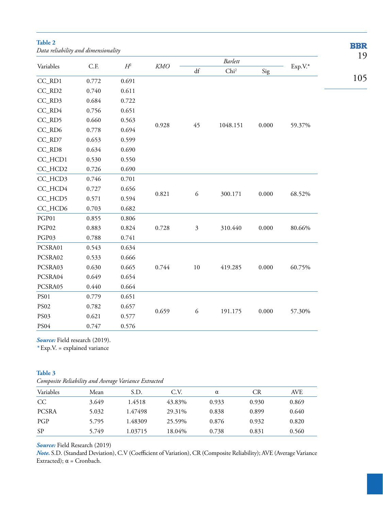<span id="page-9-0"></span>**Table 2** *Data reliability and dimensionality*

| Variables<br>C.F. |       |            |                        |                | Barlett  |         |        | 19  |
|-------------------|-------|------------|------------------------|----------------|----------|---------|--------|-----|
|                   | $H^2$ | <b>KMO</b> | $\mathrm{d}\mathrm{f}$ | ${\rm Chi}^2$  | Sig      | Exp.V.* |        |     |
| CC_RD1            | 0.772 | 0.691      |                        |                |          |         |        | 105 |
| CC_RD2            | 0.740 | 0.611      |                        |                |          |         |        |     |
| CC_RD3            | 0.684 | 0.722      |                        |                |          |         |        |     |
| CC_RD4            | 0.756 | 0.651      |                        |                |          |         |        |     |
| CC_RD5            | 0.660 | 0.563      | 0.928                  |                |          |         |        |     |
| CC_RD6            | 0.778 | 0.694      |                        | 45             | 1048.151 | 0.000   | 59.37% |     |
| CC_RD7            | 0.653 | 0.599      |                        |                |          |         |        |     |
| CC_RD8            | 0.634 | 0.690      |                        |                |          |         |        |     |
| CC_HCD1           | 0.530 | 0.550      |                        |                |          |         |        |     |
| CC_HCD2           | 0.726 | 0.690      |                        |                |          |         |        |     |
| CC_HCD3           | 0.746 | 0.701      |                        |                |          |         |        |     |
| CC_HCD4           | 0.727 | 0.656      |                        |                |          |         |        |     |
| CC_HCD5           | 0.571 | 0.594      | 0.821                  | 6              | 300.171  | 0.000   | 68.52% |     |
| CC_HCD6           | 0.703 | 0.682      |                        |                |          |         |        |     |
| PGP01             | 0.855 | 0.806      |                        |                |          |         |        |     |
| PGP02             | 0.883 | 0.824      | 0.728                  | $\mathfrak{Z}$ | 310.440  | 0.000   | 80.66% |     |
| PGP03             | 0.788 | 0.741      |                        |                |          |         |        |     |
| PCSRA01           | 0.543 | 0.634      |                        |                |          |         |        |     |
| PCSRA02           | 0.533 | 0.666      |                        |                |          |         |        |     |
| PCSRA03           | 0.630 | 0.665      | 0.744                  | $10\,$         | 419.285  | 0.000   | 60.75% |     |
| PCSRA04           | 0.649 | 0.654      |                        |                |          |         |        |     |
| PCSRA05           | 0.440 | 0.664      |                        |                |          |         |        |     |
| <b>PS01</b>       | 0.779 | 0.651      |                        |                |          |         |        |     |
| <b>PS02</b>       | 0.782 | 0.657      |                        |                |          |         |        |     |
| PS03              | 0.621 | 0.577      | 0.659                  | 6              | 191.175  | 0.000   | 57.30% |     |
| PS04              | 0.747 | 0.576      |                        |                |          |         |        |     |

**BBR** 

Source: Field research (2019).

*\** Exp.V. = explained variance

#### <span id="page-9-1"></span>**Table 3**

| Variables    | Mean  | S.D.    | C.V.   | α     | CR    | AVE   |
|--------------|-------|---------|--------|-------|-------|-------|
| CC           | 3.649 | 1.4518  | 43.83% | 0.933 | 0.930 | 0.869 |
| <b>PCSRA</b> | 5.032 | 1.47498 | 29.31% | 0.838 | 0.899 | 0.640 |
| PGP          | 5.795 | 1.48309 | 25.59% | 0.876 | 0.932 | 0.820 |
| <b>SP</b>    | 5.749 | 1.03715 | 18.04% | 0.738 | 0.831 | 0.560 |

#### *Source:* Field Research (2019)

*Note.* S.D. (Standard Deviation), C.V (Coefficient of Variation), CR (Composite Reliability); AVE (Average Variance Extracted);  $\alpha$  = Cronbach.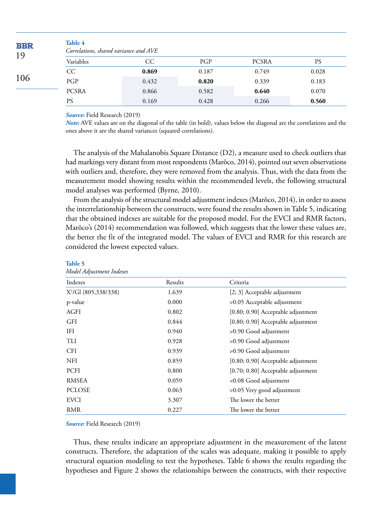<span id="page-10-0"></span>

| <b>BBR</b><br>19 | Table 4<br>Correlations, shared variance and AVE |       |       |              |       |  |  |  |
|------------------|--------------------------------------------------|-------|-------|--------------|-------|--|--|--|
|                  | Variables                                        | CC    | PGP   | <b>PCSRA</b> | PS    |  |  |  |
|                  | CC                                               | 0.869 | 0.187 | 0.749        | 0.028 |  |  |  |
| 106              | PGP                                              | 0.432 | 0.820 | 0.339        | 0.183 |  |  |  |
|                  | <b>PCSRA</b>                                     | 0.866 | 0.582 | 0.640        | 0.070 |  |  |  |
|                  | <b>PS</b>                                        | 0.169 | 0.428 | 0.266        | 0.560 |  |  |  |

*Source:* Field Research (2019)

*Note:* AVE values are on the diagonal of the table (in bold), values below the diagonal are the correlations and the ones above it are the shared variances (squared correlations).

The analysis of the Mahalanobis Square Distance (D2), a measure used to check outliers that had markings very distant from most respondents (Marôco, 2014), pointed out seven observations with outliers and, therefore, they were removed from the analysis. Thus, with the data from the measurement model showing results within the recommended levels, the following structural model analyses was performed (Byrne, 2010).

From the analysis of the structural model adjustment indexes (Marôco, 2014), in order to assess the interrelationship between the constructs, were found the results shown in [Table 5,](#page-10-1) indicating that the obtained indexes are suitable for the proposed model. For the EVCI and RMR factors, Marôco's (2014) recommendation was followed, which suggests that the lower these values are, the better the fit of the integrated model. The values of EVCI and RMR for this research are considered the lowest expected values.

| <i>Prodet Aufustment Indexes</i> |         |                                    |
|----------------------------------|---------|------------------------------------|
| Indexes                          | Results | Criteria                           |
| $X^2/Gl$ (805,338/338)           | 1.639   | [2; 3] Acceptable adjustment       |
| p-value                          | 0.000   | >0.05 Acceptable adjustment        |
| <b>AGFI</b>                      | 0.802   | [0.80; 0.90] Acceptable adjustment |
| <b>GFI</b>                       | 0.844   | [0.80; 0.90] Acceptable adjustment |
| IFI                              | 0.940   | >0.90 Good adjustment              |
| TLI                              | 0.928   | >0.90 Good adjustment              |
| <b>CFI</b>                       | 0.939   | >0.90 Good adjustment              |
| <b>NFI</b>                       | 0.859   | [0.80; 0.90] Acceptable adjustment |
| <b>PCFI</b>                      | 0.800   | [0.70; 0.80] Acceptable adjustment |
| <b>RMSEA</b>                     | 0.059   | <0.08 Good adjustment              |
| <b>PCLOSE</b>                    | 0.063   | >0.05 Very good adjustment         |
| <b>EVCI</b>                      | 3.307   | The lower the better               |
| <b>RMR</b>                       | 0.227   | The lower the better               |

#### <span id="page-10-1"></span>**[Table 5](#page-10-1)**

*Model Adjustment Indexes*

*Source:* Field Research (2019)

Thus, these results indicate an appropriate adjustment in the measurement of the latent constructs. Therefore, the adaptation of the scales was adequate, making it possible to apply structural equation modeling to test the hypotheses. [Table 6](#page-11-0) shows the results regarding the hypotheses and [Figure 2](#page-11-1) shows the relationships between the constructs, with their respective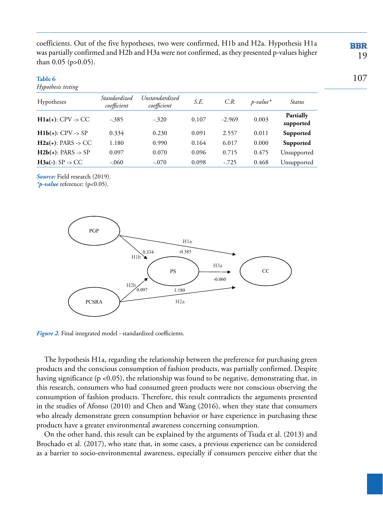coefficients. Out of the five hypotheses, two were confirmed, H1b and H2a. Hypothesis H1a was partially confirmed and H2b and H3a were not confirmed, as they presented p-values higher than 0.05 (p>0.05).

#### <span id="page-11-0"></span>**[Table 6](#page-11-0)**

*Hypothesis testing*

| Hypotheses                   | Standardized<br>coefficient | Unstandardized<br>coefficient | S.E.  | C.R.     | $p$ -value <sup>*</sup> | Status                 |
|------------------------------|-----------------------------|-------------------------------|-------|----------|-------------------------|------------------------|
| $H1a(+): CPV \rightarrow CC$ | -.385                       | $-.320$                       | 0.107 | $-2.969$ | 0.003                   | Partially<br>supported |
| $H1b(+): CPV \rightarrow SP$ | 0.334                       | 0.230                         | 0.091 | 2.557    | 0.011                   | Supported              |
| $H2a(+)$ : PARS -> CC        | 1.180                       | 0.990                         | 0.164 | 6.017    | 0.000                   | Supported              |
| $H2b(+)$ : PARS -> SP        | 0.097                       | 0.070                         | 0.096 | 0.715    | 0.475                   | Unsupported            |
| $H3a(-): SP \rightarrow CC$  | $-.060$                     | $-.070$                       | 0.098 | $-.725$  | 0.468                   | Unsupported            |

*Source:* Field research (2019).

*\*p-value* reference: (p<0.05).



<span id="page-11-1"></span>*[Figure 2](#page-11-1).* Final integrated model - standardized coefficients.

The hypothesis H1a, regarding the relationship between the preference for purchasing green products and the conscious consumption of fashion products, was partially confirmed. Despite having significance (p <0.05), the relationship was found to be negative, demonstrating that, in this research, consumers who had consumed green products were not conscious observing the consumption of fashion products. Therefore, this result contradicts the arguments presented in the studies of Afonso (2010) and Chen and Wang (2016), when they state that consumers who already demonstrate green consumption behavior or have experience in purchasing these products have a greater environmental awareness concerning consumption.

On the other hand, this result can be explained by the arguments of Tsuda et al. (2013) and Brochado et al. (2017), who state that, in some cases, a previous experience can be considered as a barrier to socio-environmental awareness, especially if consumers perceive either that the

### **BBR** 19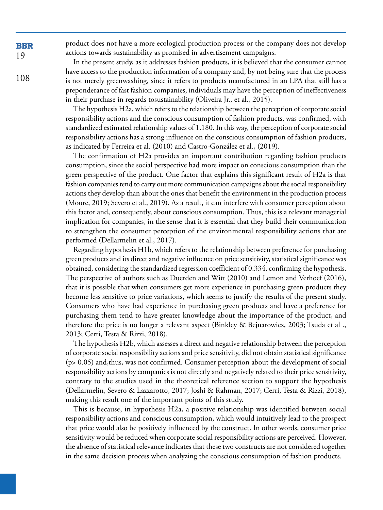product does not have a more ecological production process or the company does not develop actions towards sustainability as promised in advertisement campaigns.

In the present study, as it addresses fashion products, it is believed that the consumer cannot have access to the production information of a company and, by not being sure that the process is not merely greenwashing, since it refers to products manufactured in an LPA that still has a preponderance of fast fashion companies, individuals may have the perception of ineffectiveness in their purchase in regards tosustainability (Oliveira Jr., et al., 2015).

The hypothesis H2a, which refers to the relationship between the perception of corporate social responsibility actions and the conscious consumption of fashion products, was confirmed, with standardized estimated relationship values of 1.180. In this way, the perception of corporate social responsibility actions has a strong influence on the conscious consumption of fashion products, as indicated by Ferreira et al. (2010) and Castro-González et al., (2019).

The confirmation of H2a provides an important contribution regarding fashion products consumption, since the social perspective had more impact on conscious consumption than the green perspective of the product. One factor that explains this significant result of H2a is that fashion companies tend to carry out more communication campaigns about the social responsibility actions they develop than about the ones that benefit the environment in the production process (Moure, 2019; Severo et al., 2019). As a result, it can interfere with consumer perception about this factor and, consequently, about conscious consumption. Thus, this is a relevant managerial implication for companies, in the sense that it is essential that they build their communication to strengthen the consumer perception of the environmental responsibility actions that are performed (Dellarmelin et al., 2017).

Regarding hypothesis H1b, which refers to the relationship between preference for purchasing green products and its direct and negative influence on price sensitivity, statistical significance was obtained, considering the standardized regression coefficient of 0.334, confirming the hypothesis. The perspective of authors such as Duerden and Witt (2010) and Lemon and Verhoef (2016), that it is possible that when consumers get more experience in purchasing green products they become less sensitive to price variations, which seems to justify the results of the present study. Consumers who have had experience in purchasing green products and have a preference for purchasing them tend to have greater knowledge about the importance of the product, and therefore the price is no longer a relevant aspect (Binkley & Bejnarowicz, 2003; Tsuda et al ., 2013; Cerri, Testa & Rizzi, 2018).

The hypothesis H2b, which assesses a direct and negative relationship between the perception of corporate social responsibility actions and price sensitivity, did not obtain statistical significance (p> 0.05) and,thus, was not confirmed. Consumer perception about the development of social responsibility actions by companies is not directly and negatively related to their price sensitivity, contrary to the studies used in the theoretical reference section to support the hypothesis (Dellarmelin, Severo & Lazzarotto, 2017; Joshi & Rahman, 2017; Cerri, Testa & Rizzi, 2018), making this result one of the important points of this study.

This is because, in hypothesis H2a, a positive relationship was identified between social responsibility actions and conscious consumption, which would intuitively lead to the prospect that price would also be positively influenced by the construct. In other words, consumer price sensitivity would be reduced when corporate social responsibility actions are perceived. However, the absence of statistical relevance indicates that these two constructs are not considered together in the same decision process when analyzing the conscious consumption of fashion products.

**BBR** 19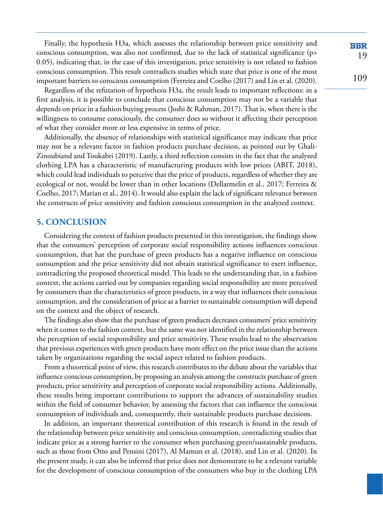Finally, the hypothesis H3a, which assesses the relationship between price sensitivity and conscious consumption, was also not confirmed, due to the lack of statistical significance (p> 0.05), indicating that, in the case of this investigation, price sensitivity is not related to fashion conscious consumption. This result contradicts studies which state that price is one of the most important barriers to conscious consumption (Ferreira and Coelho (2017) and Lin et al. (2020).

Regardless of the refutation of hypothesis H3a, the result leads to important reflections: in a first analysis, it is possible to conclude that conscious consumption may not be a variable that depends on price in a fashion buying process (Joshi & Rahman, 2017). That is, when there is the willingness to consume consciously, the consumer does so without it affecting their perception of what they consider more or less expensive in terms of price.

Additionally, the absence of relationships with statistical significance may indicate that price may not be a relevant factor in fashion products purchase decision, as pointed out by Ghali-Zinoubiand and Toukabri (2019). Lastly, a third reflection consists in the fact that the analyzed clothing LPA has a characteristic of manufacturing products with low prices (ABIT, 2018), which could lead individuals to perceive that the price of products, regardless of whether they are ecological or not, would be lower than in other locations (Dellarmelin et al., 2017; Ferreira & Coelho, 2017; Marian et al., 2014). It would also explain the lack of significant relevance between the constructs of price sensitivity and fashion conscious consumption in the analyzed context.

# **5. CONCLUSION**

Considering the context of fashion products presented in this investigation, the findings show that the consumers' perception of corporate social responsibility actions influences conscious consumption, that hat the purchase of green products has a negative influence on conscious consumption and the price sensitivity did not obtain statistical significance to exert influence, contradicting the proposed theoretical model. This leads to the understanding that, in a fashion context, the actions carried out by companies regarding social responsibility are more perceived by consumers than the characteristics of green products, in a way that influences their conscious consumption, and the consideration of price as a barrier to sustainable consumption will depend on the context and the object of research.

The findings also show that the purchase of green products decreases consumers' price sensitivity when it comes to the fashion context, but the same was not identified in the relationship between the perception of social responsibility and price sensitivity. These results lead to the observation that previous experiences with green products have more effect on the price issue than the actions taken by organizations regarding the social aspect related to fashion products.

From a theoretical point of view, this research contributes to the debate about the variables that influence conscious consumption, by proposing an analysis among the constructs purchase of green products, price sensitivity and perception of corporate social responsibility actions. Additionally, these results bring important contributions to support the advances of sustainability studies within the field of consumer behavior, by assessing the factors that can influence the conscious consumption of individuals and, consequently, their sustainable products purchase decisions.

In addition, an important theoretical contribution of this research is found in the result of the relationship between price sensitivity and conscious consumption, contradicting studies that indicate price as a strong barrier to the consumer when purchasing green/sustainable products, such as those from Otto and Pensini (2017), Al Mamun et al. (2018), and Lin et al. (2020). In the present study, it can also be inferred that price does not demonstrate to be a relevant variable for the development of conscious consumption of the consumers who buy in the clothing LPA

**BBR** 19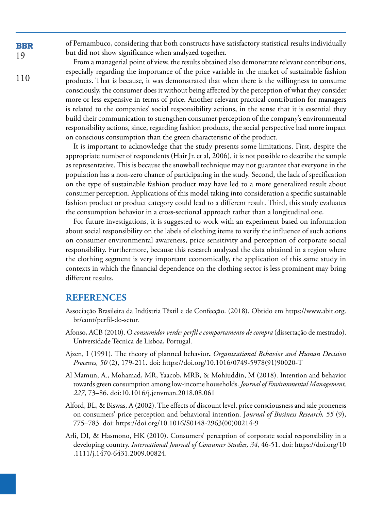of Pernambuco, considering that both constructs have satisfactory statistical results individually but did not show significance when analyzed together.

110 From a managerial point of view, the results obtained also demonstrate relevant contributions, especially regarding the importance of the price variable in the market of sustainable fashion products. That is because, it was demonstrated that when there is the willingness to consume

consciously, the consumer does it without being affected by the perception of what they consider more or less expensive in terms of price. Another relevant practical contribution for managers is related to the companies' social responsibility actions, in the sense that it is essential they build their communication to strengthen consumer perception of the company's environmental responsibility actions, since, regarding fashion products, the social perspective had more impact on conscious consumption than the green characteristic of the product.

It is important to acknowledge that the study presents some limitations. First, despite the appropriate number of respondents (Hair Jr. et al, 2006), it is not possible to describe the sample as representative. This is because the snowball technique may not guarantee that everyone in the population has a non-zero chance of participating in the study. Second, the lack of specification on the type of sustainable fashion product may have led to a more generalized result about consumer perception. Applications of this model taking into consideration a specific sustainable fashion product or product category could lead to a different result. Third, this study evaluates the consumption behavior in a cross-sectional approach rather than a longitudinal one.

For future investigations, it is suggested to work with an experiment based on information about social responsibility on the labels of clothing items to verify the influence of such actions on consumer environmental awareness, price sensitivity and perception of corporate social responsibility. Furthermore, because this research analyzed the data obtained in a region where the clothing segment is very important economically, the application of this same study in contexts in which the financial dependence on the clothing sector is less prominent may bring different results.

# **REFERENCES**

- Associação Brasileira da Indústria Têxtil e de Confecção. (2018). Obtido em [https://www.abit.org.](https://www.abit.org.br/cont/perfil-do-setor) [br/cont/perfil-do-setor.](https://www.abit.org.br/cont/perfil-do-setor)
- Afonso, ACB (2010). O *consumidor verde: perfil e comportamento de compra* (dissertação de mestrado). Universidade Técnica de Lisboa, Portugal.
- Ajzen, I (1991). The theory of planned behavior**.** *Organizational Behavior and Human Decision Processes, 50* (2), 179-211. doi: [https://doi.org/10.1016/0749-5978\(91\)90020-T](https://doi.org/10.1016/0749-5978(91)90020-T)
- Al Mamun, A., Mohamad, MR, Yaacob, MRB, & Mohiuddin, M (2018). Intention and behavior towards green consumption among low-income households. *Journal of Environmental Management, 227*, 73–86. doi:10.1016/j.jenvman.2018.08.061
- Alford, BL, & Biswas, A (2002). The effects of discount level, price consciousness and sale proneness on consumers' price perception and behavioral intention. J*ournal of Business Research, 55* (9), 775–783. doi: [https://doi.org/10.1016/S0148-2963\(00\)00214-9](https://doi.org/10.1016/S0148-2963(00)00214-9)
- Arli, DI, & Hasmono, HK (2010). Consumers' perception of corporate social responsibility in a developing country. *International Journal of Consumer Studies, 34*, 46-51. doi: [https://doi.org/10](https://doi.org/10.1111/j.1470-6431.2009.00824) [.1111/j.1470-6431.2009.00824.](https://doi.org/10.1111/j.1470-6431.2009.00824)

**BBR** 19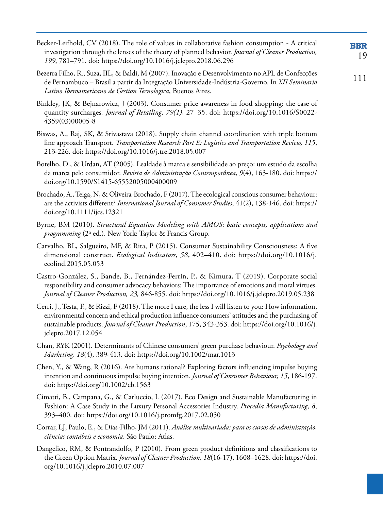Becker-Leifhold, CV (2018). The role of values in collaborative fashion consumption - A critical **BBR** investigation through the lenses of the theory of planned behavior. *Journal of Cleaner Production,*  19 *199*, 781–791. doi: <https://doi.org/10.1016/j.jclepro.2018.06.296>

- Bezerra Filho, R., Suza, IIL, & Baldi, M (2007). Inovação e Desenvolvimento no APL de Confecções de Pernambuco – Brasil a partir da Integração Universidade-Indústria-Governo. In *XII Seminario Latino Iberoamericano de Gestion Tecnologica*, Buenos Aires.
- Binkley, JK, & Bejnarowicz, J (2003). Consumer price awareness in food shopping: the case of quantity surcharges*. Journal of Retailing, 79(1),* 27–35. doi: [https://doi.org/10.1016/S0022-](https://doi.org/10.1016/S0022-4359(03)00005-8) [4359\(03\)00005-8](https://doi.org/10.1016/S0022-4359(03)00005-8)
- Biswas, A., Raj, SK, & Srivastava (2018). Supply chain channel coordination with triple bottom line approach Transport. *Transportation Research Part E: Logistics and Transportation Review, 115*, 213-226. doi: <https://doi.org/10.1016/j.tre.2018.05.007>
- Botelho, D., & Urdan, AT (2005). Lealdade à marca e sensibilidade ao preço: um estudo da escolha da marca pelo consumidor. *Revista de Administração Contemporânea, 9*(4), 163-180. doi: [https://](https://doi.org/10.1590/S1415-65552005000400009) [doi.org/10.1590/S1415-65552005000400009](https://doi.org/10.1590/S1415-65552005000400009)
- Brochado, A., Teiga, N, & Oliveira-Brochado, F (2017). The ecological conscious consumer behaviour: are the activists different? *International Journal of Consumer Studies*, 41(2), 138-146. doi: [https://](https://doi.org/10.1111/ijcs.12321) [doi.org/10.1111/ijcs.12321](https://doi.org/10.1111/ijcs.12321)
- Byrne, BM (2010). *Structural Equation Modeling with AMOS*: *basic concepts, applications and programming* (2ª ed.). New York: Taylor & Francis Group.
- Carvalho, BL, Salgueiro, MF, & Rita, P (2015). Consumer Sustainability Consciousness: A five dimensional construct. *Ecological Indicators, 58*, 402–410. doi: [https://doi.org/10.1016/j.](https://doi.org/10.1016/j.ecolind.2015.05.053) [ecolind.2015.05.053](https://doi.org/10.1016/j.ecolind.2015.05.053)
- Castro-González, S., Bande, B., Fernández-Ferrín, P., & Kimura, T (2019). Corporate social responsibility and consumer advocacy behaviors: The importance of emotions and moral virtues. *Journal of Cleaner Production, 23,* 846-855. doi:<https://doi.org/10.1016/j.jclepro.2019.05.238>
- Cerri, J., Testa, F., & Rizzi, F (2018). The more I care, the less I will listen to you: How information, environmental concern and ethical production influence consumers' attitudes and the purchasing of sustainable products. *Journal of Cleaner Production*, 175, 343-353. doi: [https://doi.org/10.1016/j.](https://doi.org/10.1016/j.jclepro.2017.12.054) [jclepro.2017.12.054](https://doi.org/10.1016/j.jclepro.2017.12.054)
- Chan, RYK (2001). Determinants of Chinese consumers' green purchase behaviour. *Psychology and Marketing, 18*(4), 389-413. doi: <https://doi.org/10.1002/mar.1013>
- Chen, Y., & Wang, R (2016). Are humans rational? Exploring factors influencing impulse buying intention and continuous impulse buying intention. *Journal of Consumer Behaviour, 15*, 186-197. doi: <https://doi.org/10.1002/cb.1563>
- Cimatti, B., Campana, G., & Carluccio, L (2017). Eco Design and Sustainable Manufacturing in Fashion: A Case Study in the Luxury Personal Accessories Industry. *Procedia Manufacturing, 8*, 393–400. doi: <https://doi.org/10.1016/j.promfg.2017.02.050>
- Corrar, LJ, Paulo, E., & Dias-Filho, JM (2011). *Análise multivariada: para os cursos de administração, ciências contábeis e economia*. São Paulo: Atlas.
- Dangelico, RM, & Pontrandolfo, P (2010). From green product definitions and classifications to the Green Option Matrix. *Journal of Cleaner Production, 18*(16-17), 1608–1628. doi: [https://doi.](https://doi.org/10.1016/j.jclepro.2010.07.007) [org/10.1016/j.jclepro.2010.07.007](https://doi.org/10.1016/j.jclepro.2010.07.007)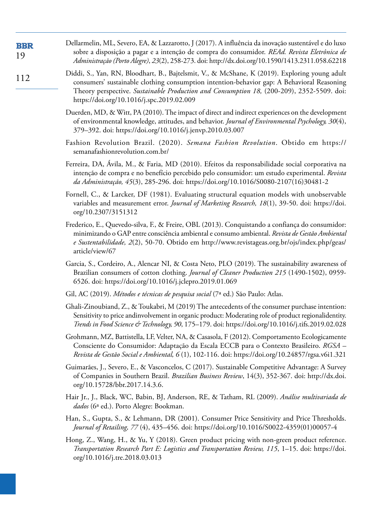| <b>BBR</b><br>19 | Dellarmelin, ML, Severo, EA, & Lazzarotto, J (2017). A influência da inovação sustentável e do luxo<br>sobre a disposição a pagar e a intenção de compra do consumidor. REAd. Revista Eletrônica de<br>Administração (Porto Alegre), 23(2), 258-273. doi: http://dx.doi.org/10.1590/1413.2311.058.62218                               |
|------------------|---------------------------------------------------------------------------------------------------------------------------------------------------------------------------------------------------------------------------------------------------------------------------------------------------------------------------------------|
| 112              | Diddi, S., Yan, RN, Bloodhart, B., Bajtelsmit, V., & McShane, K (2019). Exploring young adult<br>consumers' sustainable clothing consumption intention-behavior gap: A Behavioral Reasoning<br>Theory perspective. Sustainable Production and Consumption 18, (200-209), 2352-5509. doi:<br>https://doi.org/10.1016/j.spc.2019.02.009 |
|                  | Duerden, MD, & Witt, PA (2010). The impact of direct and indirect experiences on the development<br>of environmental knowledge, attitudes, and behavior. Journal of Environmental Psychology, 30(4),<br>379-392. doi: https://doi.org/10.1016/j.jenvp.2010.03.007                                                                     |
|                  | Fashion Revolution Brazil. (2020). Semana Fashion Revolution. Obtido em https://<br>semanafashionrevolution.com.br/                                                                                                                                                                                                                   |
|                  | Ferreira, DA, Ávila, M., & Faria, MD (2010). Efeitos da responsabilidade social corporativa na<br>intenção de compra e no benefício percebido pelo consumidor: um estudo experimental. Revista<br>da Administração, 45(3), 285-296. doi: https://doi.org/10.1016/S0080-2107(16)30481-2                                                |
|                  | Fornell, C., & Larcker, DF (1981). Evaluating structural equation models with unobservable<br>variables and measurement error. Journal of Marketing Research, 18(1), 39-50. doi: https://doi.<br>org/10.2307/3151312                                                                                                                  |
|                  | Frederico, E., Quevedo-silva, F., & Freire, OBL (2013). Conquistando a confiança do consumidor:<br>minimizando o GAP entre consciência ambiental e consumo ambiental. Revista de Gestão Ambiental<br>e Sustentabilidade, 2(2), 50-70. Obtido em http://www.revistageas.org.br/ojs/index.php/geas/<br>article/view/67                  |
|                  | Garcia, S., Cordeiro, A., Alencar NI, & Costa Neto, PLO (2019). The sustainability awareness of<br>Brazilian consumers of cotton clothing. Journal of Cleaner Production 215 (1490-1502), 0959-<br>6526. doi: https://doi.org/10.1016/j.jclepro.2019.01.069                                                                           |
|                  | Gil, AC (2019). Métodos e técnicas de pesquisa social (7ª ed.) São Paulo: Atlas.                                                                                                                                                                                                                                                      |
|                  | Ghali-Zinoubiand, Z., & Toukabri, M (2019) The antecedents of the consumer purchase intention:<br>Sensitivity to price andinvolvement in organic product: Moderating role of product regionalidentity.<br>Trends in Food Science & Technology, 90, 175-179. doi: https://doi.org/10.1016/j.tifs.2019.02.028                           |
|                  | Grohmann, MZ, Battistella, LF, Velter, NA, & Casasola, F (2012). Comportamento Ecologicamente<br>Consciente do Consumidor: Adaptação da Escala ECCB para o Contexto Brasileiro. RGSA -<br>Revista de Gestão Social e Ambiental, 6(1), 102-116. doi: https://doi.org/10.24857/rgsa.v6i1.321                                            |
|                  | Guimarães, J., Severo, E., & Vasconcelos, C (2017). Sustainable Competitive Advantage: A Survey<br>of Companies in Southern Brazil. Brazilian Business Review, 14(3), 352-367. doi: http://dx.doi.<br>org/10.15728/bbr.2017.14.3.6.                                                                                                   |
|                  | Hair Jr., J., Black, WC, Babin, BJ, Anderson, RE, & Tatham, RL (2009). Análise multivariada de<br><i>dados</i> (6ª ed.). Porto Alegre: Bookman.                                                                                                                                                                                       |
|                  | Han, S., Gupta, S., & Lehmann, DR (2001). Consumer Price Sensitivity and Price Thresholds.<br>Journal of Retailing, 77 (4), 435-456. doi: https://doi.org/10.1016/S0022-4359(01)00057-4                                                                                                                                               |
|                  | Hong, Z., Wang, H., & Yu, Y (2018). Green product pricing with non-green product reference.<br>Transportation Research Part E: Logistics and Transportation Review, 115, 1-15. doi: https://doi.<br>org/10.1016/j.tre.2018.03.013                                                                                                     |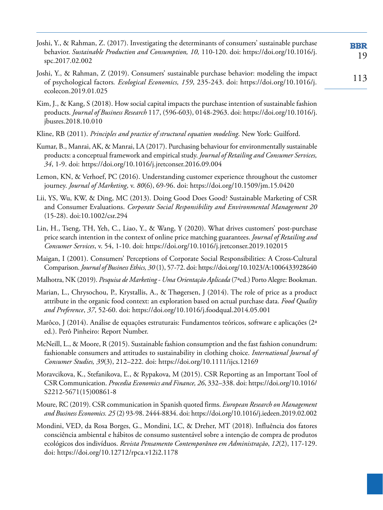Joshi, Y., & Rahman, Z. (2017). Investigating the determinants of consumers' sustainable purchase **BBR** behavior. *Sustainable Production and Consumption, 10,* 110-120. doi: [https://doi.org/10.1016/j.](https://doi.org/10.1016/j.spc.2017.02.002) 19 [spc.2017.02.002](https://doi.org/10.1016/j.spc.2017.02.002)

- Joshi, Y., & Rahman, Z (2019). Consumers' sustainable purchase behavior: modeling the impact of psychological factors*. Ecological Economics, 159*, 235-243. doi: [https://doi.org/10.1016/j.](https://doi.org/10.1016/j.ecolecon.2019.01.025) [ecolecon.2019.01.025](https://doi.org/10.1016/j.ecolecon.2019.01.025)
- Kim, J., & Kang, S (2018). How social capital impacts the purchase intention of sustainable fashion products. *Journal of Business Research* 117, (596-603), 0148-2963. doi: [https://doi.org/10.1016/j.](https://doi.org/10.1016/j.jbusres.2018.10.010) [jbusres.2018.10.010](https://doi.org/10.1016/j.jbusres.2018.10.010)
- Kline, RB (2011). *Principles and practice of structural equation modeling*. New York: Guilford.
- Kumar, B., Manrai, AK, & Manrai, LA (2017). Purchasing behaviour for environmentally sustainable products: a conceptual framework and empirical study. *Journal of Retailing and Consumer Services, 34*, 1-9. doi:<https://doi.org/10.1016/j.jretconser.2016.09.004>
- Lemon, KN, & Verhoef, PC (2016). Understanding customer experience throughout the customer journey. *Journal of Marketing*, v. *80*(6), 69-96. doi: <https://doi.org/10.1509/jm.15.0420>
- Lii, YS, Wu, KW, & Ding, MC (2013). Doing Good Does Good? Sustainable Marketing of CSR and Consumer Evaluations. *Corporate Social Responsibility and Environmental Management 20* (15-28). doi:10.1002/csr.294
- Lin, H., Tseng, TH, Yeh, C., Liao, Y., & Wang, Y (2020). What drives customers' post-purchase price search intention in the context of online price matching guarantees. *Journal of Retailing and Consumer Services*, v. 54, 1-10. doi:<https://doi.org/10.1016/j.jretconser.2019.102015>
- Maigan, I (2001). Consumers' Perceptions of Corporate Social Responsibilities: A Cross-Cultural Comparison. *Journal of Business Ethics, 30* (1), 57-72. doi:<https://doi.org/10.1023/A:1006433928640>
- Malhotra, NK (2019). *Pesquisa de Marketing Uma Orientação Aplicada* (7ªed.) Porto Alegre: Bookman.
- Marian, L., Chrysochou, P., Krystallis, A., & Thøgersen, J (2014). The role of price as a product attribute in the organic food context: an exploration based on actual purchase data. *Food Quality and Preference*, *37*, 52-60. doi:<https://doi.org/10.1016/j.foodqual.2014.05.001>
- Marôco, J (2014). Análise de equações estruturais: Fundamentos teóricos, software e aplicações (2ª ed.). Perô Pinheiro: Report Number.
- McNeill, L., & Moore, R (2015). Sustainable fashion consumption and the fast fashion conundrum: fashionable consumers and attitudes to sustainability in clothing choice. *International Journal of Consumer Studies, 39*(3), 212–222. doi:<https://doi.org/10.1111/ijcs.12169>
- Moravcikova, K., Stefanikova, Ľ., & Rypakova, M (2015). CSR Reporting as an Important Tool of CSR Communication. *Procedia Economics and Finance, 26*, 332–338. doi: [https://doi.org/10.1016/](https://doi.org/10.1016/S2212-5671(15)00861-8) [S2212-5671\(15\)00861-8](https://doi.org/10.1016/S2212-5671(15)00861-8)
- Moure, RC (2019). CSR communication in Spanish quoted firms. *European Research on Management and Business Economics. 25* (2) 93-98. 2444-8834. doi:<https://doi.org/10.1016/j.iedeen.2019.02.002>
- Mondini, VED, da Rosa Borges, G., Mondini, LC, & Dreher, MT (2018). Influência dos fatores consciência ambiental e hábitos de consumo sustentável sobre a intenção de compra de produtos ecológicos dos indivíduos. *Revista Pensamento Contemporâneo em Administração*, *12*(2), 117-129. doi: <https://doi.org/10.12712/rpca.v12i2.1178>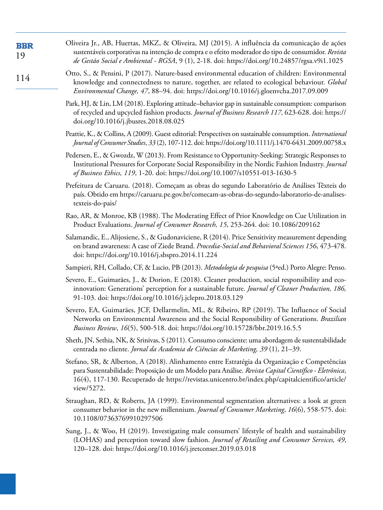| <b>BBR</b><br>19 | Oliveira Jr., AB, Huertas, MKZ, & Oliveira, MJ (2015). A influência da comunicação de ações<br>sustentáveis corporativas na intenção de compra e o efeito moderador do tipo de consumidor. Revista<br>de Gestão Social e Ambiental - RGSA, 9 (1), 2-18. doi: https://doi.org/10.24857/rgsa.v9i1.1025                     |
|------------------|--------------------------------------------------------------------------------------------------------------------------------------------------------------------------------------------------------------------------------------------------------------------------------------------------------------------------|
| 114              | Otto, S., & Pensini, P (2017). Nature-based environmental education of children: Environmental<br>knowledge and connectedness to nature, together, are related to ecological behaviour. Global<br>Environmental Change, 47, 88-94. doi: https://doi.org/10.1016/j.gloenvcha.2017.09.009                                  |
|                  | Park, HJ, & Lin, LM (2018). Exploring attitude-behavior gap in sustainable consumption: comparison<br>of recycled and upcycled fashion products. Journal of Business Research 117, 623-628. doi: https://<br>doi.org/10.1016/j.jbusres.2018.08.025                                                                       |
|                  | Peattie, K., & Collins, A (2009). Guest editorial: Perspectives on sustainable consumption. International<br>Journal of Consumer Studies, 33 (2), 107-112. doi: https://doi.org/10.1111/j.1470-6431.2009.00758.x                                                                                                         |
|                  | Pedersen, E., & Gwozdz, W (2013). From Resistance to Opportunity-Seeking: Strategic Responses to<br>Institutional Pressures for Corporate Social Responsibility in the Nordic Fashion Industry. Journal<br>of Business Ethics, 119, 1-20. doi: https://doi.org/10.1007/s10551-013-1630-5                                 |
|                  | Prefeitura de Caruaru. (2018). Começam as obras do segundo Laboratório de Análises Têxteis do<br>país. Obtido em https://caruaru.pe.gov.br/comecam-as-obras-do-segundo-laboratorio-de-analises-<br>texteis-do-pais/                                                                                                      |
|                  | Rao, AR, & Monroe, KB (1988). The Moderating Effect of Prior Knowledge on Cue Utilization in<br>Product Evaluations. Journal of Consumer Research, 15, 253-264. doi: 10.1086/209162                                                                                                                                      |
|                  | Salamandic, E., Alijosiene, S., & Gudonaviciene, R (2014). Price Sensitivity measurement depending<br>on brand awareness: A case of Ziede Brand. Procedia-Social and Behavioral Sciences 156, 473-478.<br>doi: https://doi.org/10.1016/j.sbspro.2014.11.224                                                              |
|                  | Sampieri, RH, Collado, CF, & Lucio, PB (2013). Metodologia de pesquisa (5ªed.) Porto Alegre: Penso.                                                                                                                                                                                                                      |
|                  | Severo, E., Guimarães, J., & Dorion, E (2018). Cleaner production, social responsibility and eco-<br>innovation: Generations' perception for a sustainable future. Journal of Cleaner Production, 186,<br>91-103. doi: https://doi.org/10.1016/j.jclepro.2018.03.129                                                     |
|                  | Severo, EA, Guimarães, JCF, Dellarmelin, ML, & Ribeiro, RP (2019). The Influence of Social<br>Networks on Environmental Awareness and the Social Responsibility of Generations. Brazilian<br>Business Review, 16(5), 500-518. doi: https://doi.org/10.15728/bbr.2019.16.5.5                                              |
|                  | Sheth, JN, Sethia, NK, & Srinivas, S (2011). Consumo consciente: uma abordagem de sustentabilidade<br>centrada no cliente. Jornal da Academia de Ciências de Marketing, 39 (1), 21-39.                                                                                                                                   |
|                  | Stefano, SR, & Alberton, A (2018). Alinhamento entre Estratégia da Organização e Competências<br>para Sustentabilidade: Proposição de um Modelo para Análise. Revista Capital Científico - Eletrônica,<br>16(4), 117-130. Recuperado de https://revistas.unicentro.br/index.php/capitalcientifico/article/<br>view/5272. |
|                  | Straughan, RD, & Roberts, JA (1999). Environmental segmentation alternatives: a look at green<br>consumer behavior in the new millennium. Journal of Consumer Marketing, 16(6), 558-575. doi:<br>10.1108/07363769910297506                                                                                               |
|                  | Sung, J., & Woo, H (2019). Investigating male consumers' lifestyle of health and sustainability<br>(LOHAS) and perception toward slow fashion. Journal of Retailing and Consumer Services, 49,<br>120-128. doi: https://doi.org/10.1016/j.jretconser.2019.03.018                                                         |